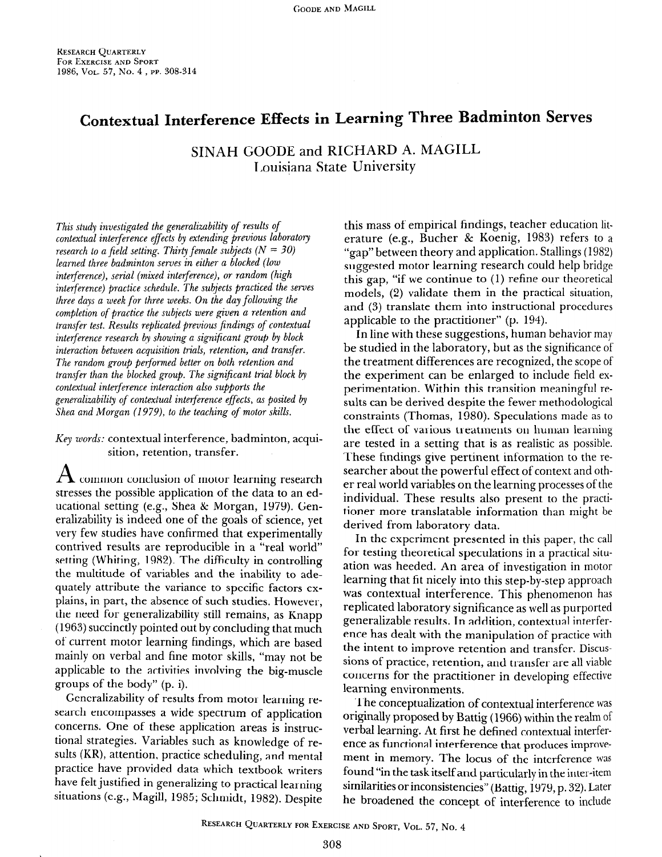# Contextual Interference Effects in Learning Three Badminton Serves

SINAH GOODE and RICHARD A. MAGILL Louisiana State University

This study investigated the generalizability of results of contextual interference effects by extending previous laboratory research to a field setting. Thirty female subjects ( $N = 30$ ) learned three badminton serves in either a blocked (low interference), serial (mixed interference), or random (high interference) practice schedule. The subjects practiced the serves three days a week for three weeks. On the day following the completion of practice the subjects were given a retention and transfer test. Results replicated previous findings of contextual interference research by showing a significant group by block interaction between acquisition trials, retention, and transfer. The random group performed better on both retention and transfer than the blocked group. The significant trial block by contextual interference interaction also supports the generalizability of contextual interference effects, as posited by Shea and Morgan (1979), to the teaching of motor skills.

Key words: contextual interference, badminton, acquisition, retention, transfer.

 $\bm A$  common conclusion of motor learning research stresses the possible application of the data to an educational setting (e.g., Shea & Morgan, 1979). Generalizability is indeed one of the goals of science, yet very few studies have confirmed that experimentally contrived results are reproducible in a "real world" setting (Whiting, 1982). The difficulty in controlling the multitude of variables and the inability to adequately attribute the variance to specific factors explains, in part, the absence of such studies. However, the need for generalizability still remains, as Knapp (1963) succinctly pointed out by concluding that much of current motor learning findings, which are based mainly on verbal and fine motor skills, "may not be applicable to the activities involving the big-muscle groups of the body"(p.i).

Generalizability of results from motor learning research encompasses a wide spectrum of application concerns. One of these application areas is instruc tional strategies. Variables such as knowledge of results (KR), attention, practice scheduling, and mental practice have provided datawhich textbook writers have felt justified in generalizing to practical learning situations(e.g., Magill, 1985; Schmidt, 1982). Despite this mass of empirical findings, teacher education literature (e.g., Bucher & Koenig, 1983) refers to <sup>a</sup> "gap" between theory and application.Stallings (1982) suggested motor learning research could help bridge this gap, "if we continue to (1) refine our theoretical models, (2) validate them in the practical situation, and (3) translate them into instructional procedures applicable to the practitioner"(p. 194).

In line with these suggestions, human behavior may be studied in the laboratory, but as the significance of the treatment differences are recognized, the scope of the experiment can be enlarged to include field experimentation. Within this transition meaningful results can be derived despite the fewer methodological constraints (Thomas, 1980). Speculations made as to the effect of various treatments on human learning are tested in a setting that is as realistic as possible. These findings give pertinent information to the researcher about the powerful effect of context and other real world variables on the learning processes of the individual. These results also present to the practitioner more translatable information than might be derived from laboratory data.

In the experiment presented in this paper, the call for testing theoretical speculations in a practical situation was heeded. An area of investigation in motor learning that fit nicely into this step-by-step approach was contextual interference. This phenomenon has replicated laboratory significanceas well as purported generalizable results. In addition, contextual interference has dealt with the manipulation of practice with the intent to improve retention and transfer. Discussions of practice, retention, and transfer are all viable concerns for the practitioner in developing effective learning environments.

'The conceptualization of contextual interference was originally proposed by Battig (1966) within the realm of verbal learning. At first he defined contextual interference as functional interference that produces improvement in memory. The locus of the interference was found "in the task itself and particularly in the inter-item similarities or inconsistencies" (Battig, 1979, p. 32), Later he broadened the concept of interference to include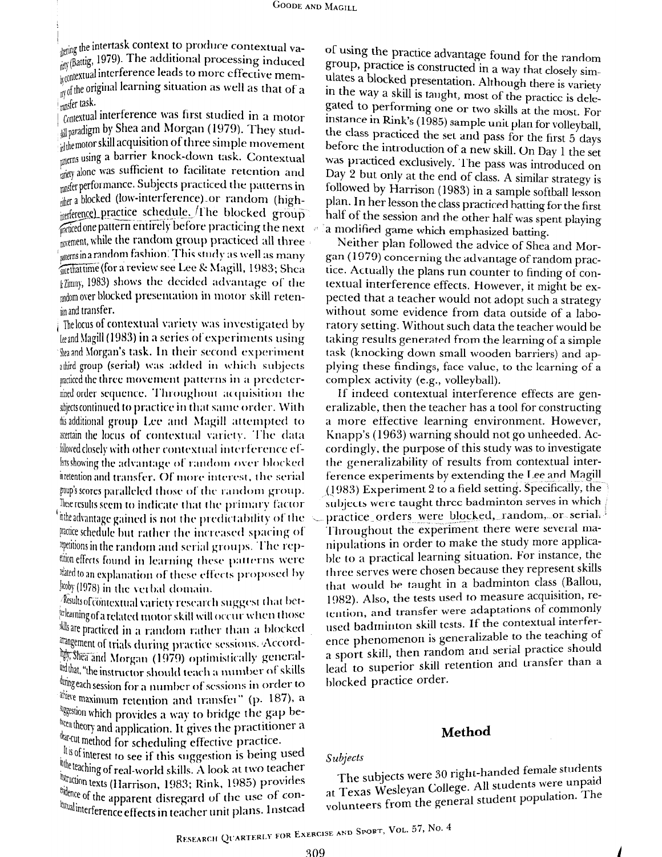$\vert$  set ontertask context to produce contextual va- $\frac{1}{\text{refl}}$  (Battig, 1979). The additional processing induced  $\frac{w_i}{w_i}$  interference leads to more effective mem- $\frac{a}{a\pi}$  of the original learning situation as well as that of a ransfer task.

| Contextual interference wasfirst studied in a motor  $_{\text{inparallel}}$  by Shea and Morgan (1979). They stud- $\frac{1}{2}$ the motor skill acquisition of three simple movement **guterns** using a barrier knock-down task. Contextual  $\frac{1}{\pi}$  alone was sufficient to facilitate retention and mafer performance. Subjects practiced the patterns in  $\frac{1}{2}$  a blocked (low-interference).or random (high- $_{\text{metric}}$  practice schedule. The blocked group.<br> $_{\text{particle}}$  one pattern entirely before practicing the next  $\frac{1}{2}$  moment, while the random group practiced all three  $_{\text{miferring} in a random fashion.}$  This study as well as  $_{\text{many}}$  $\frac{1}{2}$  methat time (for a review see Lee & Magill, 1983; Shea  $t_{\text{Zimny}}$ , 1983) shows the decided advantage of the adom over blocked presentation in motor skill retenin and transfer.

The locus of contextual variety was investigated by  $\epsilon$  lee and Magill (1983) in a series of experiments using the and Morgan's task. In their second experiment third group (serial) was added in which subjects  $p$  pacticed the three movement patterns in a predeteraed order sequence. "Vhroughout acquisition the abjects continued to practice in thatsame order. With hs additional group Lee and Magill attempted to wertan the locus of contextual variety. "Phe data lowed closely with other contextual interference effas showing the advantage of random over blocked netention and transfer. Of moreinterest, the serial poup''s scores paralleled those of the randomgroup. lhee results seemto indicate that the primary factor  $^\prime$  inheadvantage gained is not the predictability of the  $^\prime$  $_{\rm{particle}}$  schedule but rather the increased spacing of petitions in the randomand serial groups. 'Uhe repttion effects found in learning these patterns were  $t$ <sup>tdated</sup> to an explanation of these effects proposed by by(1978) in the verbal domain.

 $^\text{\tiny\textregistered}$ esults of contextual variety research suggest that bet- $^{\rm the}$ aming of a related motor skill will occur when those  $^{\rm klls}$  are practiced in a random rather than a blocked  $\text{Im}$ gement of trials during, practice sessions. Accord-**W, Shea and Morgan (1979) optimistically general-**<sup>tedthat, "the instructor should teach a number of skills</sup> thing each session for a number of sessions in order to there maximum retention and transfer" (p. 187), a all section which provides a way to bridge the gap be- $\frac{b_{\text{temp}}}{d}$  and application. It gives the practitioner a the cut method for scheduling effective practice.

 $\frac{1}{2}$ lis of interest to see if this suggestion is being used  $t_{\text{m}}$  the teaching of real-world skills. A look at two teacher  $\frac{N_{\text{t}}}{N_{\text{t}}}}$  nie, texts (Harrison, 1983; Rink, 1985) provides the of the apparent disregard of the use of conthe divergence of technical contracts in teacher unit plans. Instead % of using the practice advantage found for the random<br>group, practice is constructed in a way that closely sim-<br>ulates a blocked presentation. Although there is variety<br>in the way a skill is taught, most of the practice

ratory setting. Without such data the teacher would be taking results generated from the learning of a simple task (knocking down small wooden barriers) and applying these findings, face value, to the learning of a complex activity (e.g., volleyball).

(1983) Experiment 2 to a field setting. Specifically, the If indeed contextual interference effects are generalizable, then the teacher has a tool for constructing a more effective learning environment. However, Knapp's (1963) warning should not go unheeded. Accordingly, the purpose of this study wasto investigate the generalizability of results from contextual interference experiments by extending the Lee and Magill subjects were taught three badminton serves in which practice orders were blocked, random, or serial. Throughout the experiment there were several manipulations in order to make the study more applicable to a practical learning situation. For instance, the three serves were chosen because they represent skills that would be taught in a badminton class (Ballou, 1982). Also, the tests used to measure acquisition, retention, and transfer were adaptations of commonly used badminton skill tests. If the contextual interference phenomenon is generalizable to the teaching of <sup>a</sup> sport skill, then random and serial practice should lead to superior skill retention and transfer than <sup>a</sup> blocked practice order.

# Method

# Subjects

The subjects were <sup>30</sup> right-handed female students The subjects were 30 right-handed remail.<br>at Texas Wesleyan College. All students were unpaid at Texas Wesleyan College. An students were five-<br>volunteers from the general student population. The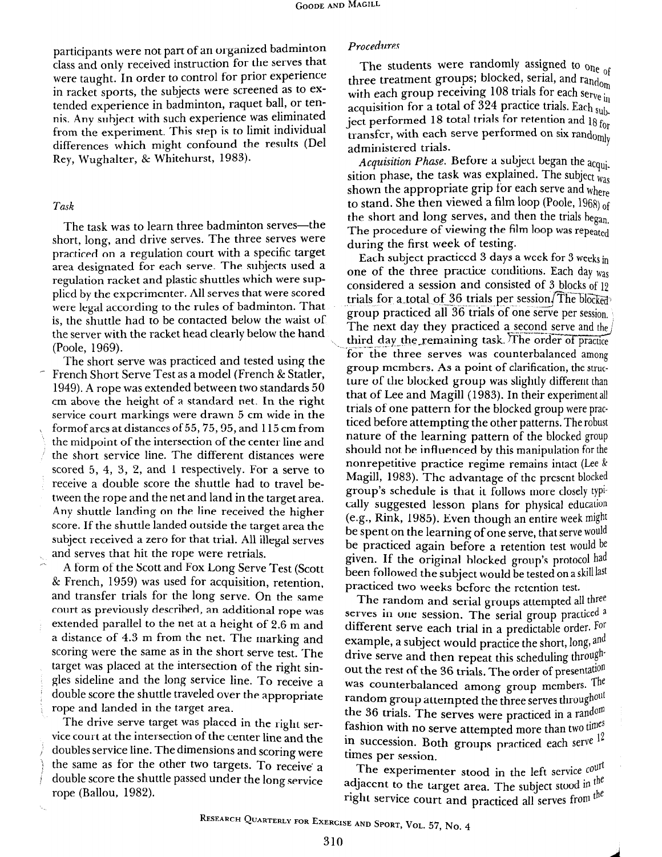participants were not part of an organized badminton class and only received instruction for the serves that were taught. In order to control for prior experience in racket sports, the subjects were screened as to extended experience in badminton, raquet ball, or tennis. Any subject with such experience was eliminated from the experiment. This step is to limit individual differences which might confound the results (Del Rey, Wughalter, & Whitehurst, 1983).

### Task

The task was to learn three badminton serves—the short, long, and drive serves. The three serves were practiced on a regulation court with a specific target area designated for each serve. The subjects used a regulation racket and plastic shuttles which were supplied by the experimenter. All serves that were scored were legal according to the rules of badminton. That is, the shuttle had to be contacted below the waist of the server with the racket head clearly below the hand (Poole, 1969).

The short serve was practiced and tested using the French Short Serve Test as <sup>a</sup> model (French & Statler, 1949). A rope was extended between two standards 50 cm above the height of a standard net. In the right service court markings were drawn 5 cm wide in the formof arcs at distances of 55, 75, 95, and 115 cm from the midpoint of the intersection of the center line and the short service line. The different distances were scored  $5, 4, 3, 2,$  and 1 respectively. For a serve to receive a double score the shuttle had to travel between the rope and the net and land in the target area. Any shuttle landing on the line received the higher score. If the shuttle landed outside the target area the subject received a zero for that trial. All illegal serves and serves that hit the rope were retrials.

A form of the Scott and Fox Long Serve Test (Scott & French, 1959) was used for acquisition, retention, and transfer trials for the long serve. On the same court as previously described, an additional rope was extended parallel to the net at <sup>a</sup> height of 2.6 m and <sup>a</sup> distance of 4.3 m from the net. The marking and scoring were the same as in the short serve test. The target was placed at the intersection of the right singles sideline and the long service line. To receive <sup>a</sup> double score the shuttle traveled over the appropriate rope and landed in the target area.

The drive serve target was placed in the right service court at the intersection of the center line and the doubles service line. The dimensions and scoring were the same as for the other two targets. To receive <sup>a</sup> double score the shuttle passed under the long service rope (Ballou, 1982).

## Procedures

The students were randomly assigned to  $o_{n}$ <sub>e of</sub> three treatment groups; blocked, serial, and  $\overline{\text{rad}}_{\text{om}}$ with each group receiving  $108$  trials for each serve in acquisition for a total of 324 practice trials. Each  $\frac{a}{8}$ ject performed. 18 total trials for retention and  $18 \frac{v}{f_0r}$ transfer, with each serve performed on six  $\text{rand}$ <sub>omly</sub> administered trials.

Acquisition Phase. Before a subject began the acquisition phase, the task was explained. The subject  $\frac{1}{w_{as}}$ shown the appropriate grip for each serve and  $w_{\text{here}}$ to stand. She then viewed a film loop (Poole,  $1968$ ) of the short and long serves, and then the trials began, The procedure of viewing the film loop was repeated during the first week of testing.

Each subject practiced 3 days a week for 3 weeksin one of the three practice conditions. Each day  $w_{\text{as}}$ considered a session and consisted of 3 blocks of  $12$  trials for a total of 36 trials per session/The blocked group practiced all 36 trials of one serve per session. The next day they practiced a second serve and the  $/$ third day the remaining task. The order of practice for the three serves was counterbalanced among group members. Asa point ofclarification, the strucgroup members. As a point of clarification, the structure of the blocked group was slightly different than that of Lee and Magill (1983). In their experimentall trials of one pattern for the blocked group were practiced before attempting the other patterns. The robust nature of the learning pattern of the blocked group should not be influenced by this manipulation for the nonrepetitive practice regime remains intact (Lee & Magill, 1983). The advantageof the present blocked Magill, 1983). The advantage of the present blocked<br>group's schedule is that it follows more closely typically suggested lesson plans for physical education (e.g., Rink, 1985). Even thoughan entire week might (e.g., Rink, 1985). Even though an entire week might be spent on the learning of one serve, that serve would be practiced again before a retention test would be given. If the original blocked group's protocol had<br>been followed the subject would be tested on a skill last been followed the subject would be tested on a skill last<br>practiced two weeks before the retention test.

The random and serial groups attempted all three serves in one session. The serial group practiced a different serve each trial in a predictable order. For example, a subject would practice the short, long, and drive serve and then repeat this scheduling throughout the rest of the 36 trials. The order of presentation was counterbalanced among group members. The random group attempted the three serves throughout the 36 trials. The serves were practiced in a random fashion with no serve attempted more than two times in succession. Both groups practiced each serve  $1^2$ times per session.

The experimenter stood in the left service  $\omega$ <sup>urt</sup> adjacent to the target area. The subject stood in the right service court and practiced all serves from  $\theta$ <sup>he</sup>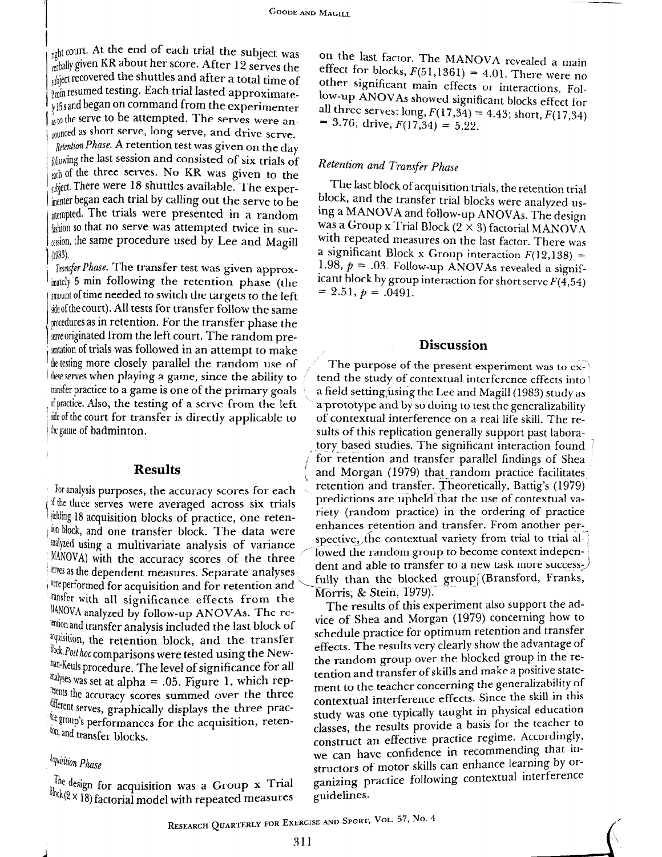right court. At the end of each trial the subject was<br>retbally given KR about her score. After 12 serves the<br>subject recovered the shuttles and after a total time of<br> $2\pi$ min resumed testing. Each trial lasted approximate  $Retention Phase$ . A retention test was given on the day following the last session and consisted of six trials of rath of the three serves. No KR was given to the subject. There were 18 shuttles available. The experimenter began each trial by calling out the serve to be attempt fashion so that no serve was attempted twice in suc-<br>  $\frac{1}{1983}$ .  $\frac{1}{17}$  (1983).<br>  $\frac{1}{17}$  *Transfer Phase*. The transfer test was given approx-<br>  $\frac{1}{17}$  and  $\frac{1}{17}$  following the retention phase (the **FISsand began on command from the experimenter** 

amount of time needed to switch the targets to the left ideof the court). All tests for transfer follow the same procedures as in retention. For the transfer phase the eneoriginated from the left court. The random pre- | entation of trials was followed in an attempt to make lhe testing more closely parallel the random use of  $\ell$  The purpose of the present experiment was to ex-<br>lhese serves when playing a game, since the ability to  $\ell$  tend the study of contextual interference effects into transfer practice to a game is one of the primary goals ifpractice. Also, the testing of a serve from the left side of the court for transfer is directly applicable to the game of badminton.

# **Results**

For analysis purposes, the accuracy scores for each of the three serves were averaged across six trials jelding 18 acquisition blocks of practice, one retention block, and one transfer block. The data were analyzed using a multivariate analysis of variance  $MANOVA$ ) with the accuracy scores of the three es as the dependent measures. Separate analyses.  $\frac{d}{dt}$  serformed for acquisition and for retention and 'Itnsfer with all significance effects from the MANOVA analyzed by follow-up ANOVAs. The retention and transfer analysis included the last block of acquisition, the retention block, and the transfer  $\frac{b \cdot \log h}{\log h}$  comparisons were tested using the Newthan-Keuls procedure. The level of significance for all  $\frac{1}{\text{mallyses}}$  was set at alpha = .05. Figure 1, which rep-Itsents the accuracy scores summed over the three fferent serves, graphically displays the three practhe group's performances for the acquisition, retenton, and transfer blocks.

# Acquisition Phase

 $i<sub>k+1</sub>$  design for acquisition was a Group x Trial  $\frac{100k}{2 \times 18}$  factorial model with repeated measures on the last factor. The MANOVA revealed a main<br>effect for blocks,  $F(51,1361) = 4.01$ . There were no<br>other significant main effects or interactions. Fol-<br>low-up ANOVAs showed significant blocks effect for<br>all three serves:

# Retention and Transfer Phase

The last block of acquisition trials, the retention trial<br>block, and the transfer trial blocks were analyzed us-<br>ing a MANOVA and follow-up ANOVAs. The design<br>was a Group x Trial Block (2 × 3) factorial MANOVA<br>with repeat 1.98,  $p = .03$ . Follow-up ANOVAs revealed a significant block by group interaction for short serve  $F(4,54)$  = 2.51,  $p = .0491$ .

# Discussion

fully than the blocked group (Bransford, Franks, The purpose of the present experiment was to ex-| a field setting;using the Lee and Magill (1983) study as<br>a prototype and by so doing to test the generalizability of contextual interference on a real life skill. The results of this replication generally support past laboratory based studies. The significant interaction found <sup>|</sup> for retention and transfer parallel findings of Shea and Morgan (1979) that random practice facilitates retention and transfer. Theoretically, Battig's (1979) predictions are upheld that the use of contextual variety (random practice) in the ordering of practice enhances retention and transfer. From another per-\_ spective, the contextual variety from trial to trial allowed the random group to become context independent and able to transfer to a new task more success-

Morris, & Stein, 1979).<br>The results of this experiment also support the advice of Shea and Morgan (1979) concerning how to schedule practice for optimum retention and transfer effects. The results very clearly show the advantage of effects. The results very elearly show the devaluates of<br>the random group over the blocked group in the re-<br>tention and transfer of skills and make a positive statetention and transfer of skills and make a positive statement to the teacher concerning the generalizability of contextual interference effects. Since the skill in this study was one typically taught in physical education classes, the results provide <sup>a</sup> basis for the teacher to construct an effective practice regime. Accordingly, we can have confidence in recommending that instructors of motor skills can enhance learning by organizing practice following contextual interference guidelines.

RESEARCH QUARTERLY FOR EXERCISE AND Sport, VoL. 57, No. 4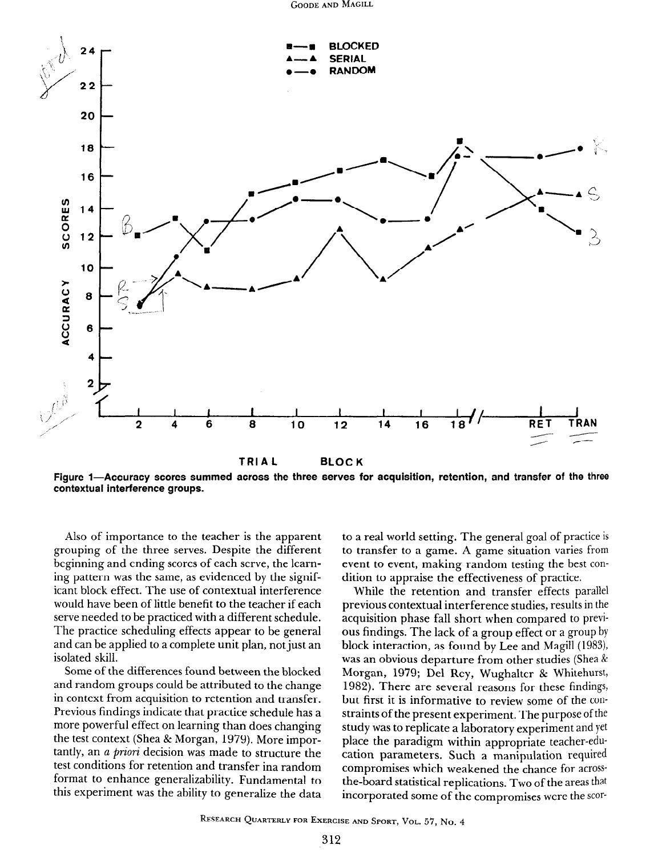GOODE AND MAGILL



Figure 1—Accuracy scores summed across the three serves for acquisition, retention, and transfer of the three contextual interference groups.

**Example 12**<br> **Example 1**<br> **Example 1**<br> **Example 1**<br> **Example 1**<br> **Example 10**<br> **Example 10**<br> **Example 10**<br> **Example 10**<br> **Example 10**<br> **Example 1**<br> **Example 1**<br> **Example 1**<br> **Example 1**<br> **Example 10**<br> **Example 10**<br> **Examp** Also of importance to the teacher is the apparent grouping of the three serves. Despite the different beginning and ending scores of each serve, the learning pattern was the same, as evidenced by the significant block effect. The use of contextual interference would have been of little benefit to the teacher if each serve needed to be practiced with a different schedule. The practice scheduling effects appear to be general and can be applied to a complete unit plan, notjust an isolated skill.

Previous find<br>more power<br>the test cont<br>tantly, an *a*<br>test conditio<br>format to e<br>this experim Some of the differences found between the blocked and random groups could be attributed to the change in context from acquisition to retention and transfer. Previous findings indicate that practice schedule has a more powerful effect on learning than does changing the test context (Shea & Morgan, 1979). More importantly, an a priori decision was made to structure the test conditions for retention and transfer ina random format to enhance generalizability. Fundamental to this experiment was the ability to generalize the data to a real world setting. The general goal of practice is to transfer to a game. A game situation varies from event to event, making random testing the best condition to appraise the effectiveness of practice.

While the retention and transfer effects parallel previous contextual interference studies, results in the acquisition phase fall short when compared to previous findings. The lack of a group effect or a group by block interaction, as found by Lee and Magill (1983), was an obvious departure from other studies (Shea & Morgan, 1979; Del Rey, Wughalter & Whitehurst, 1982). There are several reasons for these findings, but first it is informative to review some of the constraints of the present experiment. The purpose of the study was to replicate a laboratory experiment and yet place the paradigm within appropriate teacher-education parameters. Such a manipulation required compromises which weakened the chance for acrossthe-boardstatistical replications. Two of the areas that incorporated someof the compromises were the scor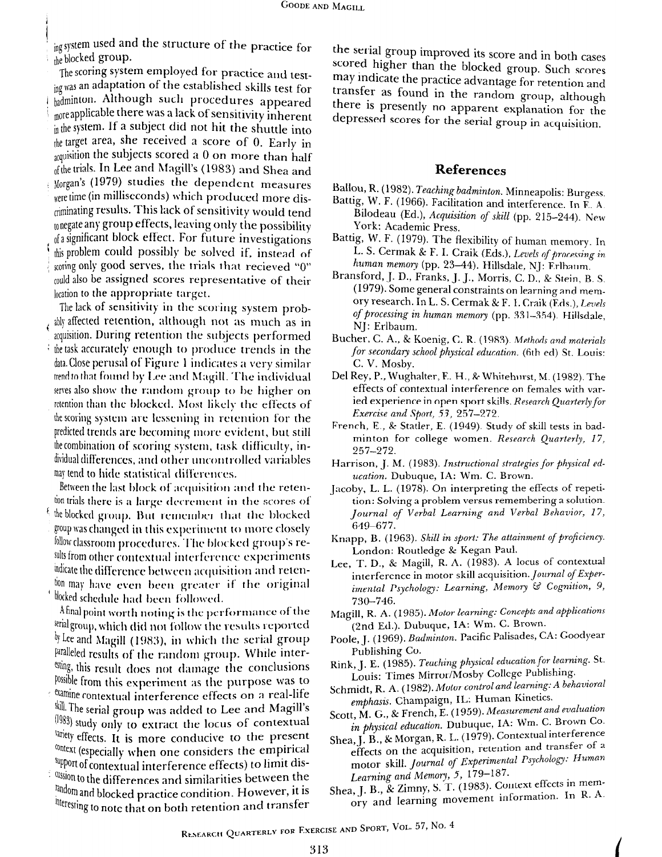$_{\text{ing system}}$  used and the structure of the practice for the blocked group.

The scoring system employed for practice and testing was an adaptation of the established skills test for hadminton. Although such procedures appeared nore applicable there was a lack of sensitivity inherent inthe system. If a subject did not hit the shuttle into the target area, she received a score of 0. Early in  $_{\text{acquilibrium}}$  the subjects scored a 0 on more than half  $_{\text{off}}$ the trials. In Lee and Magill's (1983) and Shea and  $_{\text{Morgan's}}$  (1979) studies the dependent measures  $\ddot{\phantom{0}}$ were time (in milliseconds) which produced more discriminating results. 'This lack of sensitivity would tend negate any group effects, leaving only the possibility ofasignificant block effect. For future investigations this problem could possibly be solved if, instead of «coring only good serves, the trials that recieved "0" could also be assigned scores representative of their cation to the appropriate target.

The lack of sensitivity in the scoring system prob-, ably affected retention, although not as much as in aquisition. During retention the subjects performed \* the task accurately enough to produce trends in the data. Close perusal of Figure 1 indicates a very similar rend to that found by Lee and Magill. The individual erves also show the random group to be higher on retention than the blocked. Most likely the effects of ihe scoring system are lessening in retention for the predicted trends are becoming more evident, but still he combination of scoring system, task difficulty, indvidual differences, and other uncontrolled variables may tend to hide statistical differences.

Between the Jast block of acquisition and the retenlion trials there is a large decrement in the scores of

 $\epsilon$ the blocked group. But remember that the blocked \_ foup was changed in this experiment to more closely follow classroom procedures. The blocked group's results from other contextual interference experiments indicate the difference between acquisition and retention may have even been greater if the original booked schedule had been followed.

 $A<sup>f</sup>$  halpoint worth noting is the performance of the serial group, which did not follow the results reported by Lee and Magill (1983), in which the serial group Paralleled results of the random group. While inter-<sup>esting</sup>, this result does not damage the conclusions Possible from this experiment as the purpose was to "famine contextual interference effects on a real-life will. The serial group was added to Lee and Magill's  $(1983)$  study only to extract the locus of contextual Variety effects. It is more conducive to the present CONIEXI (especially when one considers the empirical 'ipportofcontextual interference effects) to limit dis-

 $\frac{1}{2}$  Clussion to the differences and similarities between the  $I_{\text{in}^{[l]}}$  and blocked practice condition. However, it is Illeresting to note that on both retention and transfer

the serial group improved its score and in both cases<br>scored higher than the blocked group. Such scores<br>may indicate the practice advantage for retention and<br>transfer as found in the random group, although<br>there is present

# References

- 
- Ballou, R. (1982). Teaching badminton. Minneapolis: Burgess.<br>Battig, W.F. (1966). Facilitation and interference. In E. A.<br>Bilodeau (Ed.), Acquisition of skill (pp. 215-244). New York: Academic Press,
- 
- Battig, W. F. (1979). The flexibility of human memory. In<br>L. S. Cermak & F. I. Craik (Eds.), Levels of processing in<br>human memory (pp. 23–44). Hillsdale, NJ: Erlbaum.<br>Bransford, J. D., Franks, J. J., Morris, C. D., & Stein of processing in human memory (pp. 331-354). Hillsdale, NJ: Erlbaum.
- Bucher, C. A., & Koenig, C. R. (1983). Methods and materials for secondary school physical education. (6th ed) St. Louis: C. V. Mosby.
- Del Rey, P., Wughalter, E. H., & Whitehurst, M. (1982). The effects of contextual interference on females with varied experience in open sport skills. Research Quarterly for Exercise and Sport, 53, 257-272.
- French, E., & Statler, E. (1949). Study of skill tests in badminton for college women. Research Quarterly, 17, 257-272.
- Harrison, J. M. (1983). Instructional strategies for physical education. Dubuque, IA: Wm. C. Brown.
- Jacoby, L. L. (1978). On interpreting the effects of repetition: Solving a problem versus remembering a solution. journal of Verbal Learning and Verbal Behavior, 17, 649-677.
- Knapp, B. (1963). Skill in sport: The attainment of proficiency. London: Routledge & Kegan Paul.
- Lee, T. D., & Magill, R. A. (1983). A locus of contextual interference in motor skill acquisition. Journal of Experimental Psychology: Learning, Memory & Cognition, 9,  $730 - 746.$
- Magill, R. A. (1985). Motor learning: Concepts and applications (2nd Ed.). Dubuque, IA: Wm.C. Brown.
- Poole, J. (1969). *Badminton*. Pacific Palisades, CA: Goodyear  $P$ ublishing Co.
- Publishing Co.<br>Rink, J. E. (1985). Teaching physical education for learning. St. Louis: Times Mirror/Mosby College Publishing. .
- Schmidt, R. A. (1982). Motor control and learning: <sup>A</sup> behavioral emphasis. Champaign, IL: Human Kinetics. .
- Scott, M. G., & French, E. (1959). Measurement and evaluation in physical education. Dubuque, IA: Wm. C. Brown Co.
- Shea, J. B., & Morgan, R. L. (1979). Contextual interference effects on the acquisition, retention and transfer of <sup>a</sup> motor skill. Journal of Experimental Psychology: Human Learning and Memory, 5, 179-187.
- Shea, J. B., & Zimny, S. T. (1983). Context effects in ment ory and learning movement information. In R. A.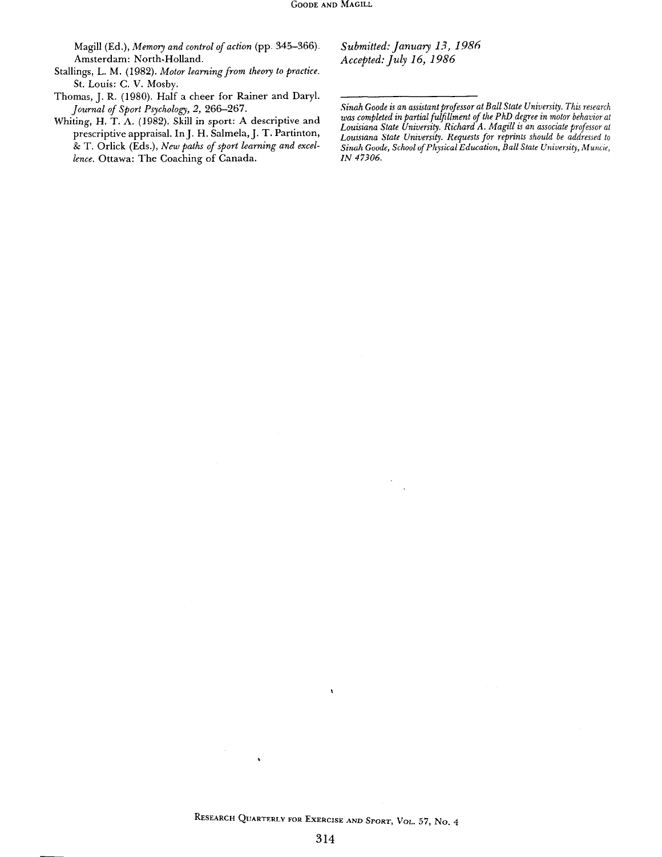Magill (Ed.), Memory and control of action (pp. 345-366). Amsterdam: North-Holland.

- Stallings, L. M. (1982). Motor learning from theory to practice. St. Louis: C. V. Mosby.
- Thomas, J. R. (1980). Half a cheer for Rainer and Daryl. Journal of Sport Psychology, 2, 266-267.
- Whiting, H. T. A. (1982). Skill in sport: A descriptive and prescriptive appraisal. In J. H. Salmela, J. T. Partinton, & T. Orlick (Eds.), New paths of sport learning and excellence. Ottawa: The Coaching of Canada.

Submitted: January 13, 1986 Accepted: July 16, 1986 

 $\pmb{\chi}$ 

Sinah Goode is an assistant professor at Ball State University. This research was completed in partial fulfillment of the PhD degree in motor behavior at Louisiana State University. Richard A. Magill is an associate professor at Louisiana State University. Requests for reprints should be addressed to  $Sinah\ Goode, School\ of\ Physical\ Education$ ,  $Ball\ State\ University, Muncie,$ IN 47306.